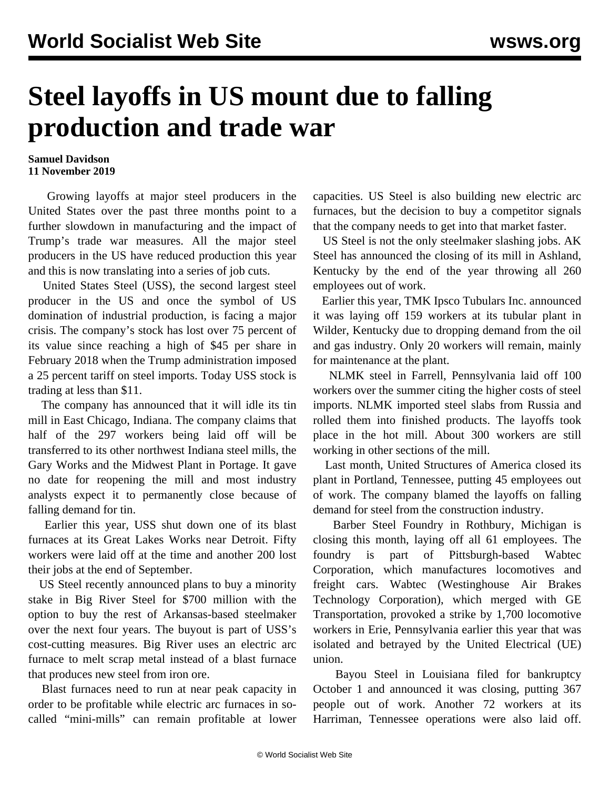## **Steel layoffs in US mount due to falling production and trade war**

## **Samuel Davidson 11 November 2019**

 Growing layoffs at major steel producers in the United States over the past three months point to a further slowdown in manufacturing and the impact of Trump's trade war measures. All the major steel producers in the US have reduced production this year and this is now translating into a series of job cuts.

 United States Steel (USS), the second largest steel producer in the US and once the symbol of US domination of industrial production, is facing a major crisis. The company's stock has lost over 75 percent of its value since reaching a high of \$45 per share in February 2018 when the Trump administration imposed a 25 percent tariff on steel imports. Today USS stock is trading at less than \$11.

 The company has announced that it will idle its tin mill in East Chicago, Indiana. The company claims that half of the 297 workers being laid off will be transferred to its other northwest Indiana steel mills, the Gary Works and the Midwest Plant in Portage. It gave no date for reopening the mill and most industry analysts expect it to permanently close because of falling demand for tin.

 Earlier this year, USS shut down one of its blast furnaces at its Great Lakes Works near Detroit. Fifty workers were laid off at the time and another 200 lost their jobs at the end of September.

 US Steel recently announced plans to buy a minority stake in Big River Steel for \$700 million with the option to buy the rest of Arkansas-based steelmaker over the next four years. The buyout is part of USS's cost-cutting measures. Big River uses an electric arc furnace to melt scrap metal instead of a blast furnace that produces new steel from iron ore.

 Blast furnaces need to run at near peak capacity in order to be profitable while electric arc furnaces in socalled "mini-mills" can remain profitable at lower capacities. US Steel is also building new electric arc furnaces, but the decision to buy a competitor signals that the company needs to get into that market faster.

 US Steel is not the only steelmaker slashing jobs. AK Steel has announced the closing of its mill in Ashland, Kentucky by the end of the year throwing all 260 employees out of work.

 Earlier this year, TMK Ipsco Tubulars Inc. announced it was laying off 159 workers at its tubular plant in Wilder, Kentucky due to dropping demand from the oil and gas industry. Only 20 workers will remain, mainly for maintenance at the plant.

 NLMK steel in Farrell, Pennsylvania laid off 100 workers over the summer citing the higher costs of steel imports. NLMK imported steel slabs from Russia and rolled them into finished products. The layoffs took place in the hot mill. About 300 workers are still working in other sections of the mill.

 Last month, United Structures of America closed its plant in Portland, Tennessee, putting 45 employees out of work. The company blamed the layoffs on falling demand for steel from the construction industry.

 Barber Steel Foundry in Rothbury, Michigan is closing this month, laying off all 61 employees. The foundry is part of Pittsburgh-based Wabtec Corporation, which manufactures locomotives and freight cars. Wabtec (Westinghouse Air Brakes Technology Corporation), which merged with GE Transportation, provoked a strike by 1,700 locomotive workers in Erie, Pennsylvania earlier this year that was isolated and betrayed by the United Electrical (UE) union.

 Bayou Steel in Louisiana filed for bankruptcy October 1 and announced it was closing, putting 367 people out of work. Another 72 workers at its Harriman, Tennessee operations were also laid off.